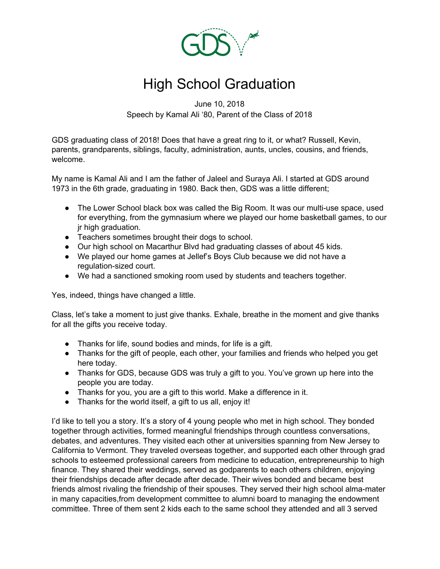

## High School Graduation

June 10, 2018 Speech by Kamal Ali '80, Parent of the Class of 2018

GDS graduating class of 2018! Does that have a great ring to it, or what? Russell, Kevin, parents, grandparents, siblings, faculty, administration, aunts, uncles, cousins, and friends, welcome.

My name is Kamal Ali and I am the father of Jaleel and Suraya Ali. I started at GDS around 1973 in the 6th grade, graduating in 1980. Back then, GDS was a little different;

- The Lower School black box was called the Big Room. It was our multi-use space, used for everything, from the gymnasium where we played our home basketball games, to our jr high graduation.
- Teachers sometimes brought their dogs to school.
- Our high school on Macarthur Blvd had graduating classes of about 45 kids.
- We played our home games at Jellef's Boys Club because we did not have a regulation-sized court.
- We had a sanctioned smoking room used by students and teachers together.

Yes, indeed, things have changed a little.

Class, let's take a moment to just give thanks. Exhale, breathe in the moment and give thanks for all the gifts you receive today.

- Thanks for life, sound bodies and minds, for life is a gift.
- Thanks for the gift of people, each other, your families and friends who helped you get here today.
- Thanks for GDS, because GDS was truly a gift to you. You've grown up here into the people you are today.
- Thanks for you, you are a gift to this world. Make a difference in it.
- Thanks for the world itself, a gift to us all, enjoy it!

I'd like to tell you a story. It's a story of 4 young people who met in high school. They bonded together through activities, formed meaningful friendships through countless conversations, debates, and adventures. They visited each other at universities spanning from New Jersey to California to Vermont. They traveled overseas together, and supported each other through grad schools to esteemed professional careers from medicine to education, entrepreneurship to high finance. They shared their weddings, served as godparents to each others children, enjoying their friendships decade after decade after decade. Their wives bonded and became best friends almost rivaling the friendship of their spouses. They served their high school alma-mater in many capacities,from development committee to alumni board to managing the endowment committee. Three of them sent 2 kids each to the same school they attended and all 3 served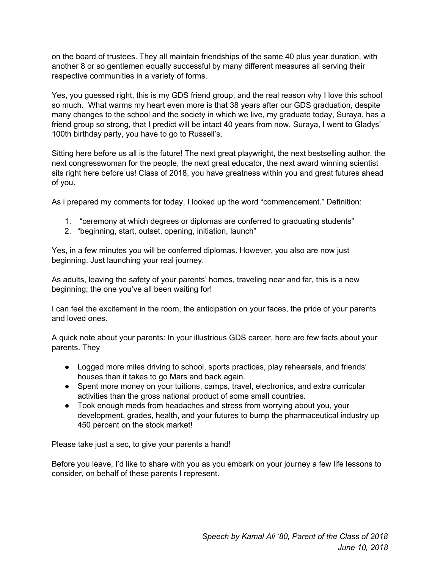on the board of trustees. They all maintain friendships of the same 40 plus year duration, with another 8 or so gentlemen equally successful by many different measures all serving their respective communities in a variety of forms.

Yes, you guessed right, this is my GDS friend group, and the real reason why I love this school so much. What warms my heart even more is that 38 years after our GDS graduation, despite many changes to the school and the society in which we live, my graduate today, Suraya, has a friend group so strong, that I predict will be intact 40 years from now. Suraya, I went to Gladys' 100th birthday party, you have to go to Russell's.

Sitting here before us all is the future! The next great playwright, the next bestselling author, the next congresswoman for the people, the next great educator, the next award winning scientist sits right here before us! Class of 2018, you have greatness within you and great futures ahead of you.

As i prepared my comments for today, I looked up the word "commencement." Definition:

- 1. "ceremony at which degrees or diplomas are conferred to graduating students"
- 2. "beginning, start, outset, opening, initiation, launch"

Yes, in a few minutes you will be conferred diplomas. However, you also are now just beginning. Just launching your real journey.

As adults, leaving the safety of your parents' homes, traveling near and far, this is a new beginning; the one you've all been waiting for!

I can feel the excitement in the room, the anticipation on your faces, the pride of your parents and loved ones.

A quick note about your parents: In your illustrious GDS career, here are few facts about your parents. They

- Logged more miles driving to school, sports practices, play rehearsals, and friends' houses than it takes to go Mars and back again.
- Spent more money on your tuitions, camps, travel, electronics, and extra curricular activities than the gross national product of some small countries.
- Took enough meds from headaches and stress from worrying about you, your development, grades, health, and your futures to bump the pharmaceutical industry up 450 percent on the stock market!

Please take just a sec, to give your parents a hand!

Before you leave, I'd like to share with you as you embark on your journey a few life lessons to consider, on behalf of these parents I represent.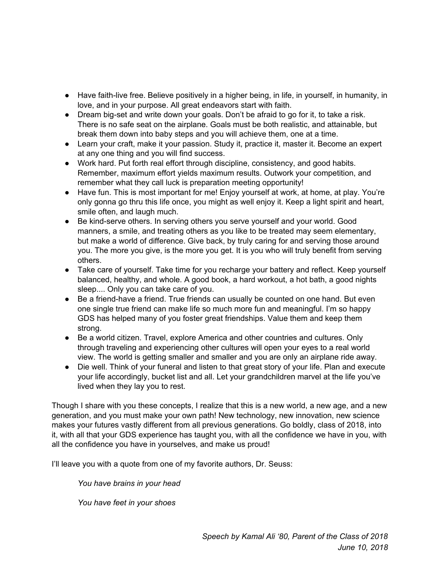- Have faith-live free. Believe positively in a higher being, in life, in yourself, in humanity, in love, and in your purpose. All great endeavors start with faith.
- Dream big-set and write down your goals. Don't be afraid to go for it, to take a risk. There is no safe seat on the airplane. Goals must be both realistic, and attainable, but break them down into baby steps and you will achieve them, one at a time.
- Learn your craft, make it your passion. Study it, practice it, master it. Become an expert at any one thing and you will find success.
- Work hard. Put forth real effort through discipline, consistency, and good habits. Remember, maximum effort yields maximum results. Outwork your competition, and remember what they call luck is preparation meeting opportunity!
- Have fun. This is most important for me! Enjoy yourself at work, at home, at play. You're only gonna go thru this life once, you might as well enjoy it. Keep a light spirit and heart, smile often, and laugh much.
- Be kind-serve others. In serving others you serve yourself and your world. Good manners, a smile, and treating others as you like to be treated may seem elementary, but make a world of difference. Give back, by truly caring for and serving those around you. The more you give, is the more you get. It is you who will truly benefit from serving others.
- Take care of yourself. Take time for you recharge your battery and reflect. Keep yourself balanced, healthy, and whole. A good book, a hard workout, a hot bath, a good nights sleep.... Only you can take care of you.
- Be a friend-have a friend. True friends can usually be counted on one hand. But even one single true friend can make life so much more fun and meaningful. I'm so happy GDS has helped many of you foster great friendships. Value them and keep them strong.
- Be a world citizen. Travel, explore America and other countries and cultures. Only through traveling and experiencing other cultures will open your eyes to a real world view. The world is getting smaller and smaller and you are only an airplane ride away.
- Die well. Think of your funeral and listen to that great story of your life. Plan and execute your life accordingly, bucket list and all. Let your grandchildren marvel at the life you've lived when they lay you to rest.

Though I share with you these concepts, I realize that this is a new world, a new age, and a new generation, and you must make your own path! New technology, new innovation, new science makes your futures vastly different from all previous generations. Go boldly, class of 2018, into it, with all that your GDS experience has taught you, with all the confidence we have in you, with all the confidence you have in yourselves, and make us proud!

I'll leave you with a quote from one of my favorite authors, Dr. Seuss:

*You have brains in your head*

*You have feet in your shoes*